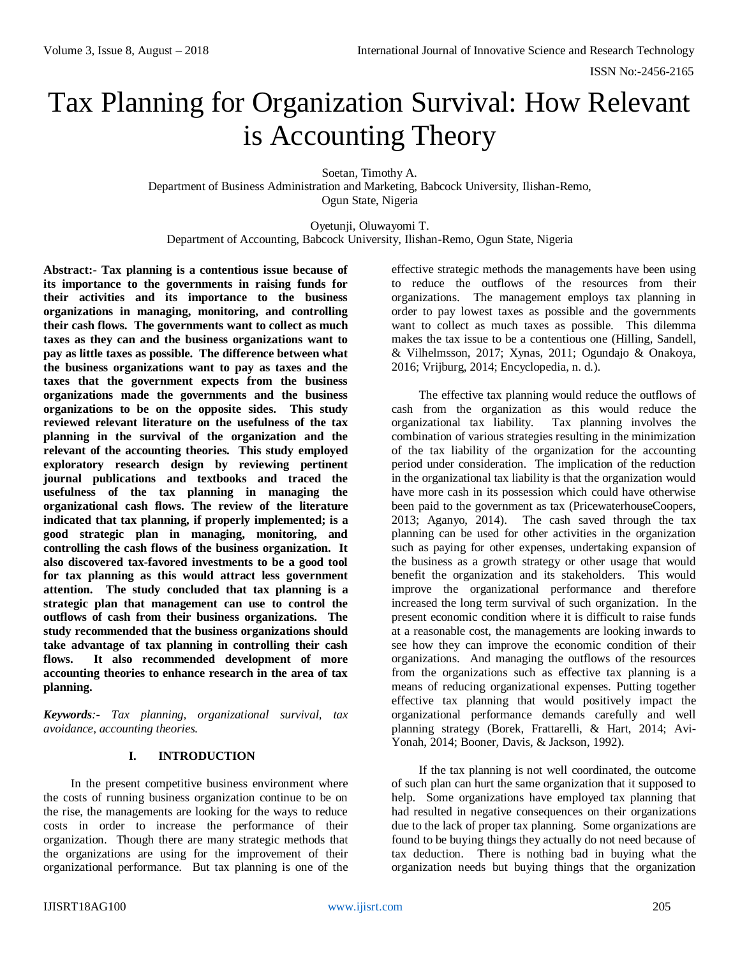# Tax Planning for Organization Survival: How Relevant is Accounting Theory

Soetan, Timothy A. Department of Business Administration and Marketing, Babcock University, Ilishan-Remo, Ogun State, Nigeria

Oyetunji, Oluwayomi T. Department of Accounting, Babcock University, Ilishan-Remo, Ogun State, Nigeria

**Abstract:- Tax planning is a contentious issue because of its importance to the governments in raising funds for their activities and its importance to the business organizations in managing, monitoring, and controlling their cash flows. The governments want to collect as much taxes as they can and the business organizations want to pay as little taxes as possible. The difference between what the business organizations want to pay as taxes and the taxes that the government expects from the business organizations made the governments and the business organizations to be on the opposite sides. This study reviewed relevant literature on the usefulness of the tax planning in the survival of the organization and the relevant of the accounting theories. This study employed exploratory research design by reviewing pertinent journal publications and textbooks and traced the usefulness of the tax planning in managing the organizational cash flows. The review of the literature indicated that tax planning, if properly implemented; is a good strategic plan in managing, monitoring, and controlling the cash flows of the business organization. It also discovered tax-favored investments to be a good tool for tax planning as this would attract less government attention. The study concluded that tax planning is a strategic plan that management can use to control the outflows of cash from their business organizations. The study recommended that the business organizations should take advantage of tax planning in controlling their cash flows. It also recommended development of more accounting theories to enhance research in the area of tax planning.**

*Keywords:- Tax planning, organizational survival, tax avoidance, accounting theories.*

## **I. INTRODUCTION**

In the present competitive business environment where the costs of running business organization continue to be on the rise, the managements are looking for the ways to reduce costs in order to increase the performance of their organization. Though there are many strategic methods that the organizations are using for the improvement of their organizational performance. But tax planning is one of the

effective strategic methods the managements have been using to reduce the outflows of the resources from their organizations. The management employs tax planning in order to pay lowest taxes as possible and the governments want to collect as much taxes as possible. This dilemma makes the tax issue to be a contentious one (Hilling, Sandell, & Vilhelmsson, 2017; Xynas, 2011; Ogundajo & Onakoya, 2016; Vrijburg, 2014; Encyclopedia, n. d.).

The effective tax planning would reduce the outflows of cash from the organization as this would reduce the organizational tax liability. Tax planning involves the combination of various strategies resulting in the minimization of the tax liability of the organization for the accounting period under consideration. The implication of the reduction in the organizational tax liability is that the organization would have more cash in its possession which could have otherwise been paid to the government as tax (PricewaterhouseCoopers, 2013; Aganyo, 2014). The cash saved through the tax planning can be used for other activities in the organization such as paying for other expenses, undertaking expansion of the business as a growth strategy or other usage that would benefit the organization and its stakeholders. This would improve the organizational performance and therefore increased the long term survival of such organization. In the present economic condition where it is difficult to raise funds at a reasonable cost, the managements are looking inwards to see how they can improve the economic condition of their organizations. And managing the outflows of the resources from the organizations such as effective tax planning is a means of reducing organizational expenses. Putting together effective tax planning that would positively impact the organizational performance demands carefully and well planning strategy (Borek, Frattarelli, & Hart, 2014; Avi-Yonah, 2014; Booner, Davis, & Jackson, 1992).

If the tax planning is not well coordinated, the outcome of such plan can hurt the same organization that it supposed to help. Some organizations have employed tax planning that had resulted in negative consequences on their organizations due to the lack of proper tax planning. Some organizations are found to be buying things they actually do not need because of tax deduction. There is nothing bad in buying what the organization needs but buying things that the organization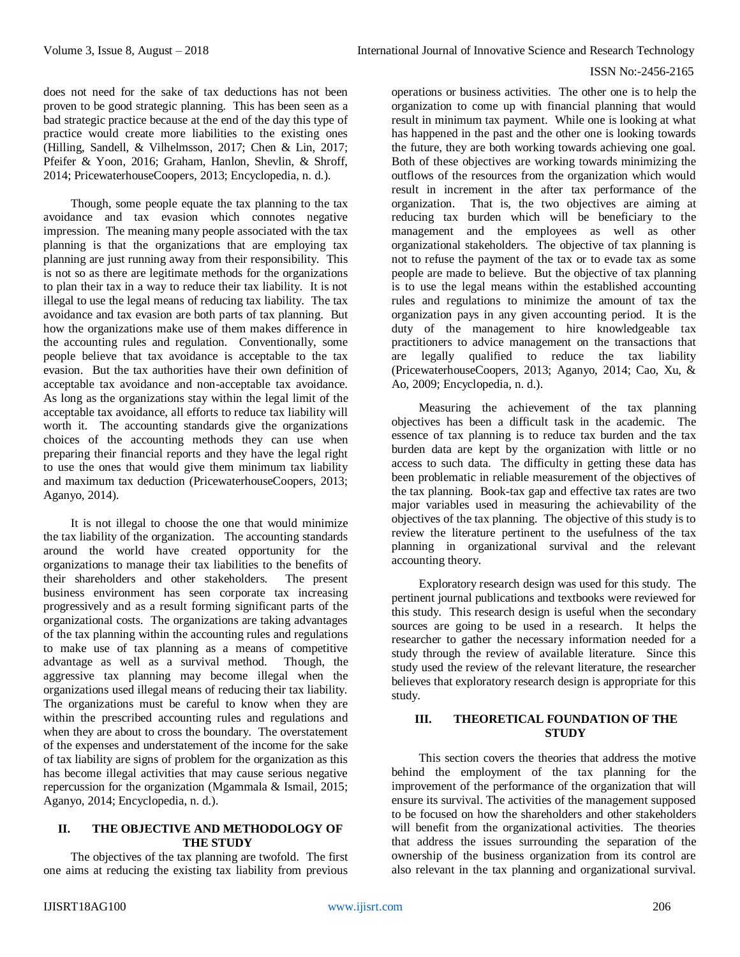does not need for the sake of tax deductions has not been proven to be good strategic planning. This has been seen as a bad strategic practice because at the end of the day this type of practice would create more liabilities to the existing ones (Hilling, Sandell, & Vilhelmsson, 2017; Chen & Lin, 2017; Pfeifer & Yoon, 2016; Graham, Hanlon, Shevlin, & Shroff, 2014; PricewaterhouseCoopers, 2013; Encyclopedia, n. d.).

Though, some people equate the tax planning to the tax avoidance and tax evasion which connotes negative impression. The meaning many people associated with the tax planning is that the organizations that are employing tax planning are just running away from their responsibility. This is not so as there are legitimate methods for the organizations to plan their tax in a way to reduce their tax liability. It is not illegal to use the legal means of reducing tax liability. The tax avoidance and tax evasion are both parts of tax planning. But how the organizations make use of them makes difference in the accounting rules and regulation. Conventionally, some people believe that tax avoidance is acceptable to the tax evasion. But the tax authorities have their own definition of acceptable tax avoidance and non-acceptable tax avoidance. As long as the organizations stay within the legal limit of the acceptable tax avoidance, all efforts to reduce tax liability will worth it. The accounting standards give the organizations choices of the accounting methods they can use when preparing their financial reports and they have the legal right to use the ones that would give them minimum tax liability and maximum tax deduction (PricewaterhouseCoopers, 2013; Aganyo, 2014).

It is not illegal to choose the one that would minimize the tax liability of the organization. The accounting standards around the world have created opportunity for the organizations to manage their tax liabilities to the benefits of their shareholders and other stakeholders. The present business environment has seen corporate tax increasing progressively and as a result forming significant parts of the organizational costs. The organizations are taking advantages of the tax planning within the accounting rules and regulations to make use of tax planning as a means of competitive advantage as well as a survival method. Though, the aggressive tax planning may become illegal when the organizations used illegal means of reducing their tax liability. The organizations must be careful to know when they are within the prescribed accounting rules and regulations and when they are about to cross the boundary. The overstatement of the expenses and understatement of the income for the sake of tax liability are signs of problem for the organization as this has become illegal activities that may cause serious negative repercussion for the organization (Mgammala & Ismail, 2015; Aganyo, 2014; Encyclopedia, n. d.).

## **II. THE OBJECTIVE AND METHODOLOGY OF THE STUDY**

The objectives of the tax planning are twofold. The first one aims at reducing the existing tax liability from previous

operations or business activities. The other one is to help the organization to come up with financial planning that would result in minimum tax payment. While one is looking at what has happened in the past and the other one is looking towards the future, they are both working towards achieving one goal. Both of these objectives are working towards minimizing the outflows of the resources from the organization which would result in increment in the after tax performance of the organization. That is, the two objectives are aiming at reducing tax burden which will be beneficiary to the management and the employees as well as other organizational stakeholders. The objective of tax planning is not to refuse the payment of the tax or to evade tax as some people are made to believe. But the objective of tax planning is to use the legal means within the established accounting rules and regulations to minimize the amount of tax the organization pays in any given accounting period. It is the duty of the management to hire knowledgeable tax practitioners to advice management on the transactions that are legally qualified to reduce the tax liability (PricewaterhouseCoopers, 2013; Aganyo, 2014; Cao, Xu, & Ao, 2009; Encyclopedia, n. d.).

Measuring the achievement of the tax planning objectives has been a difficult task in the academic. The essence of tax planning is to reduce tax burden and the tax burden data are kept by the organization with little or no access to such data. The difficulty in getting these data has been problematic in reliable measurement of the objectives of the tax planning. Book-tax gap and effective tax rates are two major variables used in measuring the achievability of the objectives of the tax planning. The objective of this study is to review the literature pertinent to the usefulness of the tax planning in organizational survival and the relevant accounting theory.

Exploratory research design was used for this study. The pertinent journal publications and textbooks were reviewed for this study. This research design is useful when the secondary sources are going to be used in a research. It helps the researcher to gather the necessary information needed for a study through the review of available literature. Since this study used the review of the relevant literature, the researcher believes that exploratory research design is appropriate for this study.

## **III. THEORETICAL FOUNDATION OF THE STUDY**

This section covers the theories that address the motive behind the employment of the tax planning for the improvement of the performance of the organization that will ensure its survival. The activities of the management supposed to be focused on how the shareholders and other stakeholders will benefit from the organizational activities. The theories that address the issues surrounding the separation of the ownership of the business organization from its control are also relevant in the tax planning and organizational survival.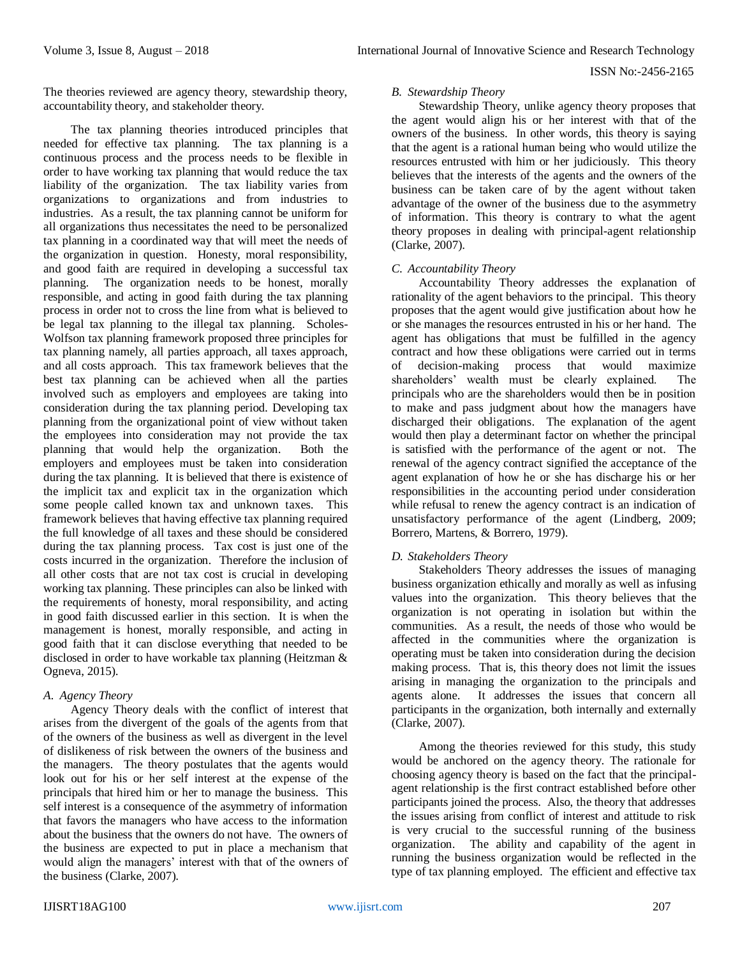The theories reviewed are agency theory, stewardship theory, accountability theory, and stakeholder theory.

The tax planning theories introduced principles that needed for effective tax planning. The tax planning is a continuous process and the process needs to be flexible in order to have working tax planning that would reduce the tax liability of the organization. The tax liability varies from organizations to organizations and from industries to industries. As a result, the tax planning cannot be uniform for all organizations thus necessitates the need to be personalized tax planning in a coordinated way that will meet the needs of the organization in question. Honesty, moral responsibility, and good faith are required in developing a successful tax planning. The organization needs to be honest, morally responsible, and acting in good faith during the tax planning process in order not to cross the line from what is believed to be legal tax planning to the illegal tax planning. Scholes-Wolfson tax planning framework proposed three principles for tax planning namely, all parties approach, all taxes approach, and all costs approach. This tax framework believes that the best tax planning can be achieved when all the parties involved such as employers and employees are taking into consideration during the tax planning period. Developing tax planning from the organizational point of view without taken the employees into consideration may not provide the tax planning that would help the organization. Both the employers and employees must be taken into consideration during the tax planning. It is believed that there is existence of the implicit tax and explicit tax in the organization which some people called known tax and unknown taxes. This framework believes that having effective tax planning required the full knowledge of all taxes and these should be considered during the tax planning process. Tax cost is just one of the costs incurred in the organization. Therefore the inclusion of all other costs that are not tax cost is crucial in developing working tax planning. These principles can also be linked with the requirements of honesty, moral responsibility, and acting in good faith discussed earlier in this section. It is when the management is honest, morally responsible, and acting in good faith that it can disclose everything that needed to be disclosed in order to have workable tax planning (Heitzman & Ogneva, 2015).

## *A. Agency Theory*

Agency Theory deals with the conflict of interest that arises from the divergent of the goals of the agents from that of the owners of the business as well as divergent in the level of dislikeness of risk between the owners of the business and the managers. The theory postulates that the agents would look out for his or her self interest at the expense of the principals that hired him or her to manage the business. This self interest is a consequence of the asymmetry of information that favors the managers who have access to the information about the business that the owners do not have. The owners of the business are expected to put in place a mechanism that would align the managers' interest with that of the owners of the business (Clarke, 2007).

## *B. Stewardship Theory*

Stewardship Theory, unlike agency theory proposes that the agent would align his or her interest with that of the owners of the business. In other words, this theory is saying that the agent is a rational human being who would utilize the resources entrusted with him or her judiciously. This theory believes that the interests of the agents and the owners of the business can be taken care of by the agent without taken advantage of the owner of the business due to the asymmetry of information. This theory is contrary to what the agent theory proposes in dealing with principal-agent relationship (Clarke, 2007).

## *C. Accountability Theory*

Accountability Theory addresses the explanation of rationality of the agent behaviors to the principal. This theory proposes that the agent would give justification about how he or she manages the resources entrusted in his or her hand. The agent has obligations that must be fulfilled in the agency contract and how these obligations were carried out in terms of decision-making process that would maximize shareholders' wealth must be clearly explained. The principals who are the shareholders would then be in position to make and pass judgment about how the managers have discharged their obligations. The explanation of the agent would then play a determinant factor on whether the principal is satisfied with the performance of the agent or not. The renewal of the agency contract signified the acceptance of the agent explanation of how he or she has discharge his or her responsibilities in the accounting period under consideration while refusal to renew the agency contract is an indication of unsatisfactory performance of the agent (Lindberg, 2009; Borrero, Martens, & Borrero, 1979).

## *D. Stakeholders Theory*

Stakeholders Theory addresses the issues of managing business organization ethically and morally as well as infusing values into the organization. This theory believes that the organization is not operating in isolation but within the communities. As a result, the needs of those who would be affected in the communities where the organization is operating must be taken into consideration during the decision making process. That is, this theory does not limit the issues arising in managing the organization to the principals and agents alone. It addresses the issues that concern all participants in the organization, both internally and externally (Clarke, 2007).

Among the theories reviewed for this study, this study would be anchored on the agency theory. The rationale for choosing agency theory is based on the fact that the principalagent relationship is the first contract established before other participants joined the process. Also, the theory that addresses the issues arising from conflict of interest and attitude to risk is very crucial to the successful running of the business organization. The ability and capability of the agent in running the business organization would be reflected in the type of tax planning employed. The efficient and effective tax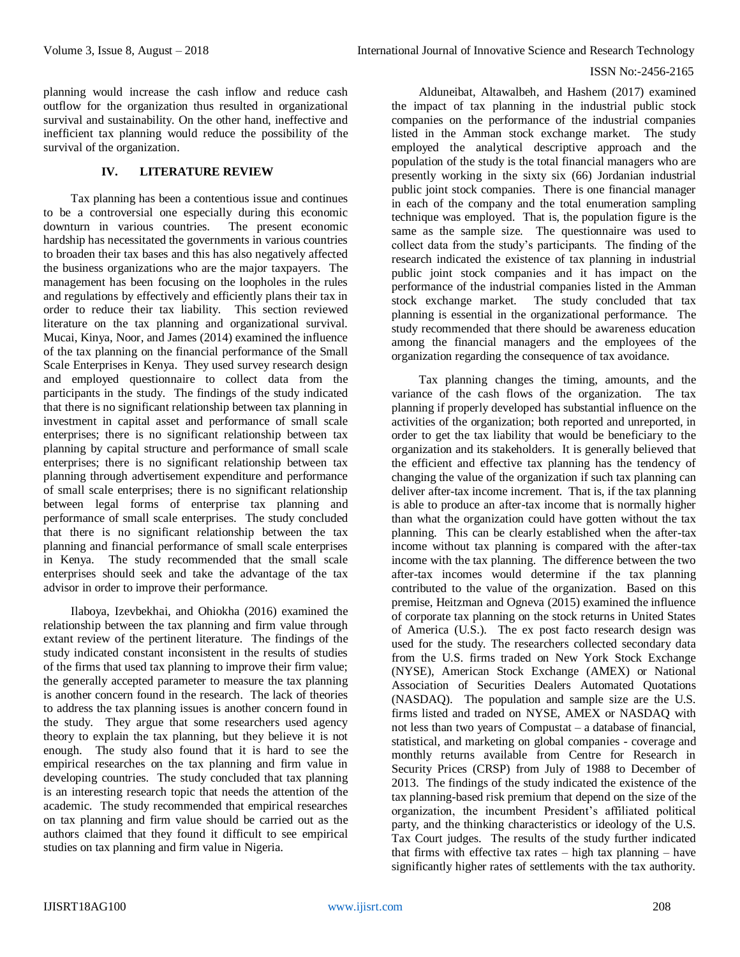planning would increase the cash inflow and reduce cash outflow for the organization thus resulted in organizational survival and sustainability. On the other hand, ineffective and inefficient tax planning would reduce the possibility of the survival of the organization.

## **IV. LITERATURE REVIEW**

Tax planning has been a contentious issue and continues to be a controversial one especially during this economic downturn in various countries. hardship has necessitated the governments in various countries to broaden their tax bases and this has also negatively affected the business organizations who are the major taxpayers. The management has been focusing on the loopholes in the rules and regulations by effectively and efficiently plans their tax in order to reduce their tax liability. This section reviewed literature on the tax planning and organizational survival. Mucai, Kinya, Noor, and James (2014) examined the influence of the tax planning on the financial performance of the Small Scale Enterprises in Kenya. They used survey research design and employed questionnaire to collect data from the participants in the study. The findings of the study indicated that there is no significant relationship between tax planning in investment in capital asset and performance of small scale enterprises; there is no significant relationship between tax planning by capital structure and performance of small scale enterprises; there is no significant relationship between tax planning through advertisement expenditure and performance of small scale enterprises; there is no significant relationship between legal forms of enterprise tax planning and performance of small scale enterprises. The study concluded that there is no significant relationship between the tax planning and financial performance of small scale enterprises in Kenya. The study recommended that the small scale enterprises should seek and take the advantage of the tax advisor in order to improve their performance.

Ilaboya, Izevbekhai, and Ohiokha (2016) examined the relationship between the tax planning and firm value through extant review of the pertinent literature. The findings of the study indicated constant inconsistent in the results of studies of the firms that used tax planning to improve their firm value; the generally accepted parameter to measure the tax planning is another concern found in the research. The lack of theories to address the tax planning issues is another concern found in the study. They argue that some researchers used agency theory to explain the tax planning, but they believe it is not enough. The study also found that it is hard to see the empirical researches on the tax planning and firm value in developing countries. The study concluded that tax planning is an interesting research topic that needs the attention of the academic. The study recommended that empirical researches on tax planning and firm value should be carried out as the authors claimed that they found it difficult to see empirical studies on tax planning and firm value in Nigeria.

Alduneibat, Altawalbeh, and Hashem (2017) examined the impact of tax planning in the industrial public stock companies on the performance of the industrial companies listed in the Amman stock exchange market. The study employed the analytical descriptive approach and the population of the study is the total financial managers who are presently working in the sixty six (66) Jordanian industrial public joint stock companies. There is one financial manager in each of the company and the total enumeration sampling technique was employed. That is, the population figure is the same as the sample size. The questionnaire was used to collect data from the study's participants. The finding of the research indicated the existence of tax planning in industrial public joint stock companies and it has impact on the performance of the industrial companies listed in the Amman stock exchange market. The study concluded that tax planning is essential in the organizational performance. The study recommended that there should be awareness education among the financial managers and the employees of the organization regarding the consequence of tax avoidance.

Tax planning changes the timing, amounts, and the variance of the cash flows of the organization. The tax planning if properly developed has substantial influence on the activities of the organization; both reported and unreported, in order to get the tax liability that would be beneficiary to the organization and its stakeholders. It is generally believed that the efficient and effective tax planning has the tendency of changing the value of the organization if such tax planning can deliver after-tax income increment. That is, if the tax planning is able to produce an after-tax income that is normally higher than what the organization could have gotten without the tax planning. This can be clearly established when the after-tax income without tax planning is compared with the after-tax income with the tax planning. The difference between the two after-tax incomes would determine if the tax planning contributed to the value of the organization. Based on this premise, Heitzman and Ogneva (2015) examined the influence of corporate tax planning on the stock returns in United States of America (U.S.). The ex post facto research design was used for the study. The researchers collected secondary data from the U.S. firms traded on New York Stock Exchange (NYSE), American Stock Exchange (AMEX) or National Association of Securities Dealers Automated Quotations (NASDAQ). The population and sample size are the U.S. firms listed and traded on NYSE, AMEX or NASDAQ with not less than two years of Compustat – a database of financial, statistical, and marketing on global companies - coverage and monthly returns available from Centre for Research in Security Prices (CRSP) from July of 1988 to December of 2013. The findings of the study indicated the existence of the tax planning-based risk premium that depend on the size of the organization, the incumbent President's affiliated political party, and the thinking characteristics or ideology of the U.S. Tax Court judges. The results of the study further indicated that firms with effective tax rates  $-$  high tax planning  $-$  have significantly higher rates of settlements with the tax authority.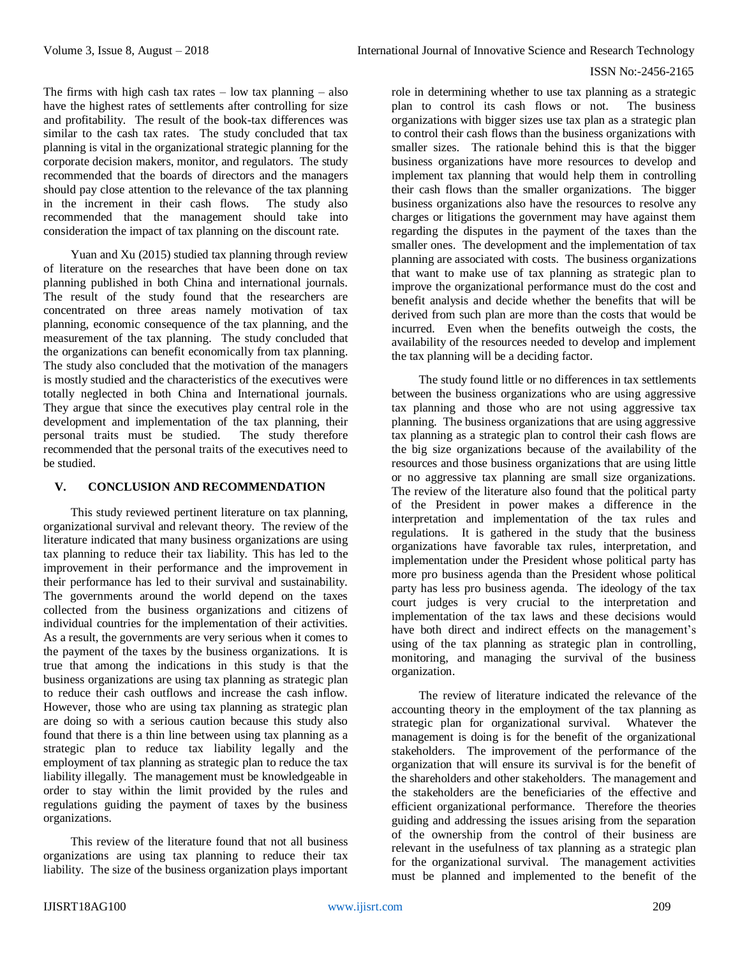The firms with high cash tax rates  $-$  low tax planning  $-$  also have the highest rates of settlements after controlling for size and profitability. The result of the book-tax differences was similar to the cash tax rates. The study concluded that tax planning is vital in the organizational strategic planning for the corporate decision makers, monitor, and regulators. The study recommended that the boards of directors and the managers should pay close attention to the relevance of the tax planning in the increment in their cash flows. The study also recommended that the management should take into consideration the impact of tax planning on the discount rate.

Yuan and Xu (2015) studied tax planning through review of literature on the researches that have been done on tax planning published in both China and international journals. The result of the study found that the researchers are concentrated on three areas namely motivation of tax planning, economic consequence of the tax planning, and the measurement of the tax planning. The study concluded that the organizations can benefit economically from tax planning. The study also concluded that the motivation of the managers is mostly studied and the characteristics of the executives were totally neglected in both China and International journals. They argue that since the executives play central role in the development and implementation of the tax planning, their personal traits must be studied. The study therefore recommended that the personal traits of the executives need to be studied.

## **V. CONCLUSION AND RECOMMENDATION**

This study reviewed pertinent literature on tax planning, organizational survival and relevant theory. The review of the literature indicated that many business organizations are using tax planning to reduce their tax liability. This has led to the improvement in their performance and the improvement in their performance has led to their survival and sustainability. The governments around the world depend on the taxes collected from the business organizations and citizens of individual countries for the implementation of their activities. As a result, the governments are very serious when it comes to the payment of the taxes by the business organizations. It is true that among the indications in this study is that the business organizations are using tax planning as strategic plan to reduce their cash outflows and increase the cash inflow. However, those who are using tax planning as strategic plan are doing so with a serious caution because this study also found that there is a thin line between using tax planning as a strategic plan to reduce tax liability legally and the employment of tax planning as strategic plan to reduce the tax liability illegally. The management must be knowledgeable in order to stay within the limit provided by the rules and regulations guiding the payment of taxes by the business organizations.

This review of the literature found that not all business organizations are using tax planning to reduce their tax liability. The size of the business organization plays important

role in determining whether to use tax planning as a strategic plan to control its cash flows or not. The business organizations with bigger sizes use tax plan as a strategic plan to control their cash flows than the business organizations with smaller sizes. The rationale behind this is that the bigger business organizations have more resources to develop and implement tax planning that would help them in controlling their cash flows than the smaller organizations. The bigger business organizations also have the resources to resolve any charges or litigations the government may have against them regarding the disputes in the payment of the taxes than the smaller ones. The development and the implementation of tax planning are associated with costs. The business organizations that want to make use of tax planning as strategic plan to improve the organizational performance must do the cost and benefit analysis and decide whether the benefits that will be derived from such plan are more than the costs that would be incurred. Even when the benefits outweigh the costs, the availability of the resources needed to develop and implement the tax planning will be a deciding factor.

The study found little or no differences in tax settlements between the business organizations who are using aggressive tax planning and those who are not using aggressive tax planning. The business organizations that are using aggressive tax planning as a strategic plan to control their cash flows are the big size organizations because of the availability of the resources and those business organizations that are using little or no aggressive tax planning are small size organizations. The review of the literature also found that the political party of the President in power makes a difference in the interpretation and implementation of the tax rules and regulations. It is gathered in the study that the business organizations have favorable tax rules, interpretation, and implementation under the President whose political party has more pro business agenda than the President whose political party has less pro business agenda. The ideology of the tax court judges is very crucial to the interpretation and implementation of the tax laws and these decisions would have both direct and indirect effects on the management's using of the tax planning as strategic plan in controlling, monitoring, and managing the survival of the business organization.

The review of literature indicated the relevance of the accounting theory in the employment of the tax planning as strategic plan for organizational survival. Whatever the management is doing is for the benefit of the organizational stakeholders. The improvement of the performance of the organization that will ensure its survival is for the benefit of the shareholders and other stakeholders. The management and the stakeholders are the beneficiaries of the effective and efficient organizational performance. Therefore the theories guiding and addressing the issues arising from the separation of the ownership from the control of their business are relevant in the usefulness of tax planning as a strategic plan for the organizational survival. The management activities must be planned and implemented to the benefit of the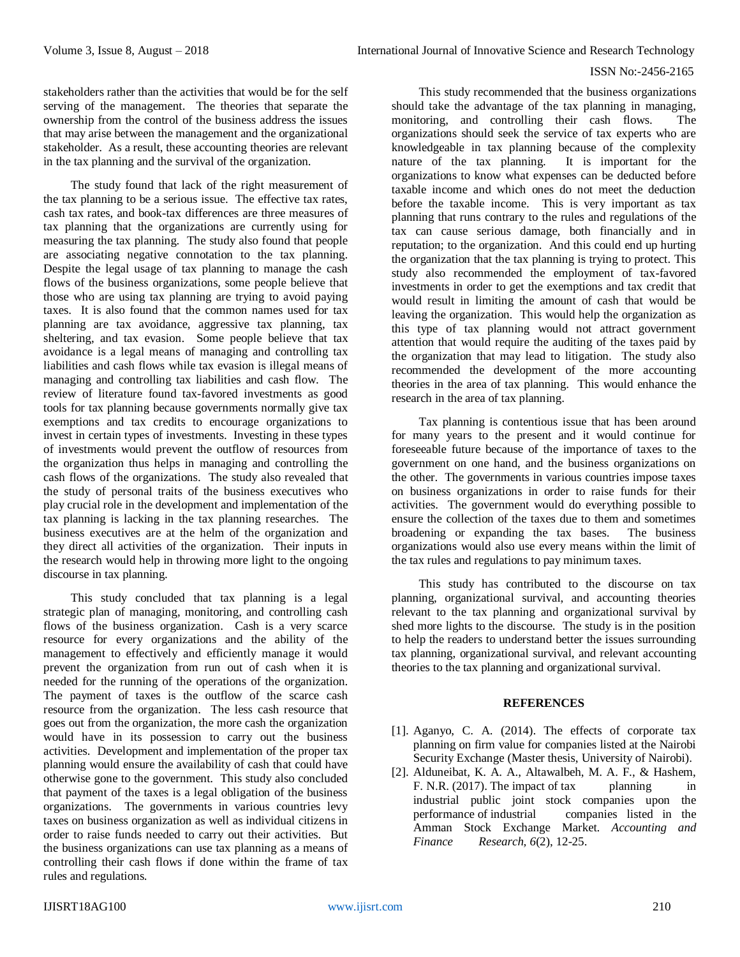stakeholders rather than the activities that would be for the self serving of the management. The theories that separate the ownership from the control of the business address the issues that may arise between the management and the organizational stakeholder. As a result, these accounting theories are relevant in the tax planning and the survival of the organization.

The study found that lack of the right measurement of the tax planning to be a serious issue. The effective tax rates, cash tax rates, and book-tax differences are three measures of tax planning that the organizations are currently using for measuring the tax planning. The study also found that people are associating negative connotation to the tax planning. Despite the legal usage of tax planning to manage the cash flows of the business organizations, some people believe that those who are using tax planning are trying to avoid paying taxes. It is also found that the common names used for tax planning are tax avoidance, aggressive tax planning, tax sheltering, and tax evasion. Some people believe that tax avoidance is a legal means of managing and controlling tax liabilities and cash flows while tax evasion is illegal means of managing and controlling tax liabilities and cash flow. The review of literature found tax-favored investments as good tools for tax planning because governments normally give tax exemptions and tax credits to encourage organizations to invest in certain types of investments. Investing in these types of investments would prevent the outflow of resources from the organization thus helps in managing and controlling the cash flows of the organizations. The study also revealed that the study of personal traits of the business executives who play crucial role in the development and implementation of the tax planning is lacking in the tax planning researches. The business executives are at the helm of the organization and they direct all activities of the organization. Their inputs in the research would help in throwing more light to the ongoing discourse in tax planning.

This study concluded that tax planning is a legal strategic plan of managing, monitoring, and controlling cash flows of the business organization. Cash is a very scarce resource for every organizations and the ability of the management to effectively and efficiently manage it would prevent the organization from run out of cash when it is needed for the running of the operations of the organization. The payment of taxes is the outflow of the scarce cash resource from the organization. The less cash resource that goes out from the organization, the more cash the organization would have in its possession to carry out the business activities. Development and implementation of the proper tax planning would ensure the availability of cash that could have otherwise gone to the government. This study also concluded that payment of the taxes is a legal obligation of the business organizations. The governments in various countries levy taxes on business organization as well as individual citizens in order to raise funds needed to carry out their activities. But the business organizations can use tax planning as a means of controlling their cash flows if done within the frame of tax rules and regulations.

This study recommended that the business organizations should take the advantage of the tax planning in managing, monitoring, and controlling their cash flows. The organizations should seek the service of tax experts who are knowledgeable in tax planning because of the complexity nature of the tax planning. It is important for the organizations to know what expenses can be deducted before taxable income and which ones do not meet the deduction before the taxable income. This is very important as tax planning that runs contrary to the rules and regulations of the tax can cause serious damage, both financially and in reputation; to the organization. And this could end up hurting the organization that the tax planning is trying to protect. This study also recommended the employment of tax-favored investments in order to get the exemptions and tax credit that would result in limiting the amount of cash that would be leaving the organization. This would help the organization as this type of tax planning would not attract government attention that would require the auditing of the taxes paid by the organization that may lead to litigation. The study also recommended the development of the more accounting theories in the area of tax planning. This would enhance the research in the area of tax planning.

Tax planning is contentious issue that has been around for many years to the present and it would continue for foreseeable future because of the importance of taxes to the government on one hand, and the business organizations on the other. The governments in various countries impose taxes on business organizations in order to raise funds for their activities. The government would do everything possible to ensure the collection of the taxes due to them and sometimes broadening or expanding the tax bases. The business organizations would also use every means within the limit of the tax rules and regulations to pay minimum taxes.

This study has contributed to the discourse on tax planning, organizational survival, and accounting theories relevant to the tax planning and organizational survival by shed more lights to the discourse. The study is in the position to help the readers to understand better the issues surrounding tax planning, organizational survival, and relevant accounting theories to the tax planning and organizational survival.

## **REFERENCES**

- [1]. Aganyo, C. A. (2014). The effects of corporate tax planning on firm value for companies listed at the Nairobi Security Exchange (Master thesis, University of Nairobi).
- [2]. Alduneibat, K. A. A., Altawalbeh, M. A. F., & Hashem, F. N.R. (2017). The impact of tax planning in industrial public joint stock companies upon the performance of industrial companies listed in the Amman Stock Exchange Market. *Accounting and Finance Research, 6*(2), 12-25.